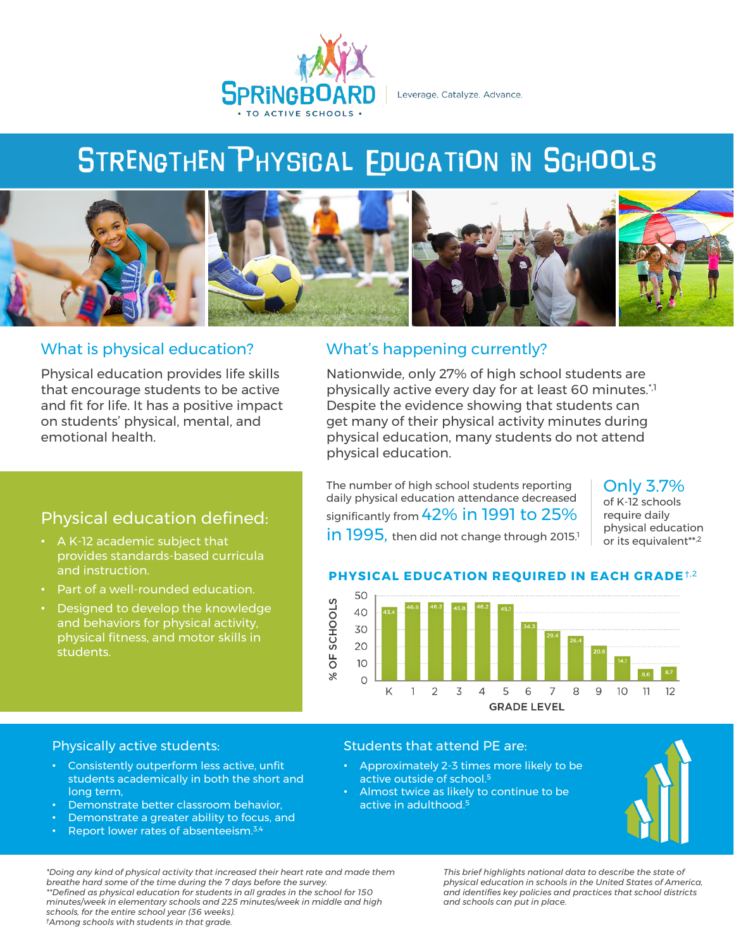

Leverage. Catalyze. Advance.

# **STRENGTHEN PHYSICAL EDUCATION IN SCHOOLS**



## What is physical education?

Physical education provides life skills that encourage students to be active and fit for life. It has a positive impact on students' physical, mental, and emotional health.

Physical education defined:

provides standards-based curricula

Part of a well-rounded education. • Designed to develop the knowledge and behaviors for physical activity, physical fitness, and motor skills in

• A K-12 academic subject that

and instruction.

students.

## What's happening currently?

Nationwide, only 27% of high school students are physically active every day for at least 60 minutes.\*,1 Despite the evidence showing that students can get many of their physical activity minutes during physical education, many students do not attend physical education.

The number of high school students reporting daily physical education attendance decreased significantly from 42% in 1991 to 25%  $\ln$  1995, then did not change through 2015.<sup>1</sup> Only 3.7%

of K-12 schools require daily physical education or its equivalent\*\*,2

## **PHYSICAL EDUCATION REQUIRED IN EACH GRADE**†,2



## Physically active students:

- Consistently outperform less active, unfit students academically in both the short and long term,
- Demonstrate better classroom behavior,
- Demonstrate a greater ability to focus, and
- Report lower rates of absenteeism.3,4

#### Students that attend PE are:

- Approximately 2-3 times more likely to be active outside of school.<sup>5</sup>
- Almost twice as likely to continue to be active in adulthood.<sup>5</sup>



*\*Doing any kind of physical activity that increased their heart rate and made them breathe hard some of the time during the 7 days before the survey. \*\*Defined as physical education for students in all grades in the school for 150 minutes/week in elementary schools and 225 minutes/week in middle and high schools, for the entire school year (36 weeks). †Among schools with students in that grade.*

*This brief highlights national data to describe the state of physical education in schools in the United States of America, and identifies key policies and practices that school districts and schools can put in place.*